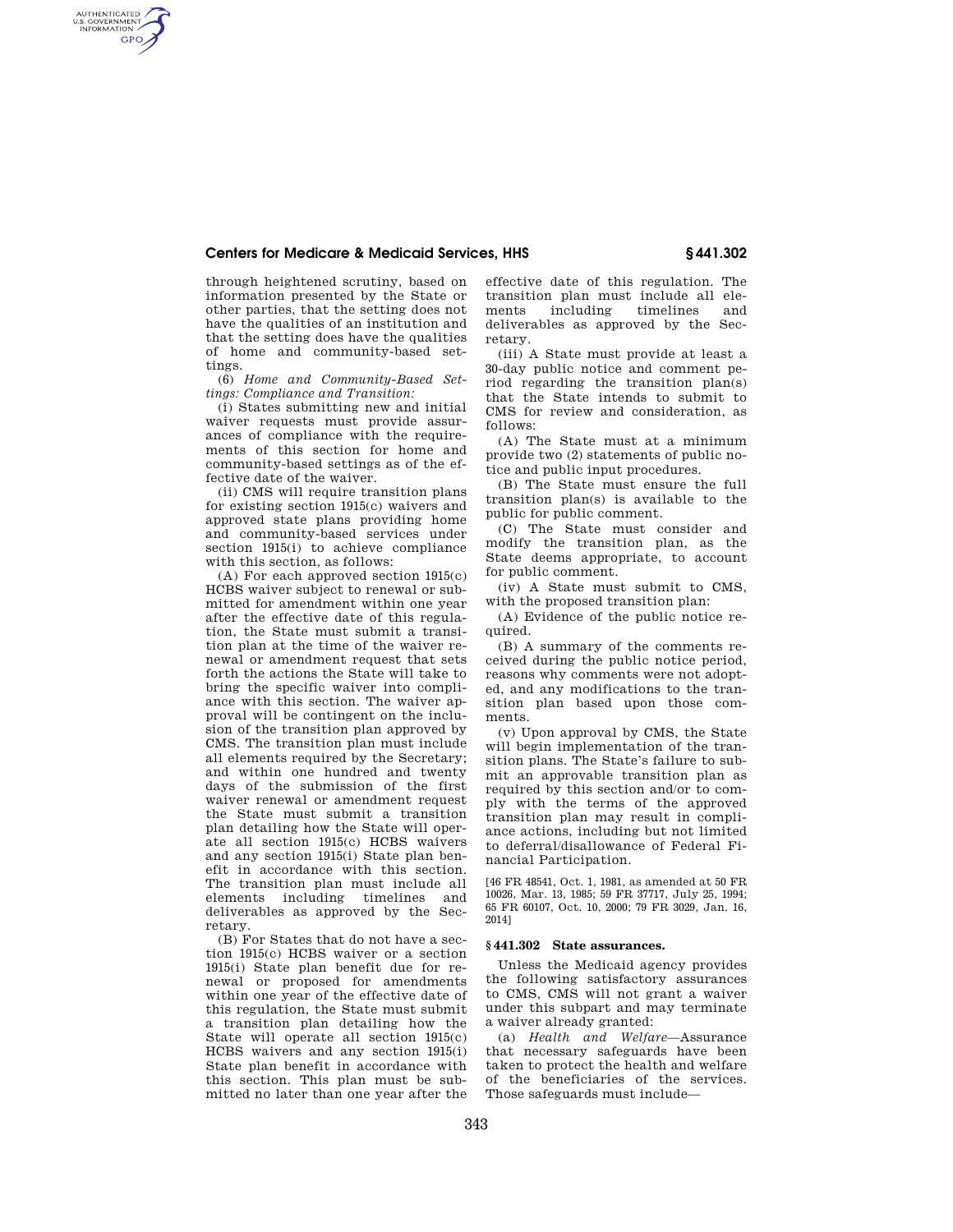## **Centers for Medicare & Medicaid Services, HHS § 441.302**

through heightened scrutiny, based on information presented by the State or other parties, that the setting does not have the qualities of an institution and that the setting does have the qualities of home and community-based settings.

AUTHENTICATED<br>U.S. GOVERNMENT<br>INFORMATION **GPO** 

> (6) *Home and Community-Based Settings: Compliance and Transition:*

> (i) States submitting new and initial waiver requests must provide assurances of compliance with the requirements of this section for home and community-based settings as of the effective date of the waiver.

> (ii) CMS will require transition plans for existing section 1915(c) waivers and approved state plans providing home and community-based services under section 1915(i) to achieve compliance with this section, as follows:

> (A) For each approved section 1915(c) HCBS waiver subject to renewal or submitted for amendment within one year after the effective date of this regulation, the State must submit a transition plan at the time of the waiver renewal or amendment request that sets forth the actions the State will take to bring the specific waiver into compliance with this section. The waiver approval will be contingent on the inclusion of the transition plan approved by CMS. The transition plan must include all elements required by the Secretary; and within one hundred and twenty days of the submission of the first waiver renewal or amendment request the State must submit a transition plan detailing how the State will operate all section 1915(c) HCBS waivers and any section 1915(i) State plan benefit in accordance with this section. The transition plan must include all<br>elements including timelines and elements including timelines and deliverables as approved by the Secretary.

> (B) For States that do not have a section 1915(c) HCBS waiver or a section 1915(i) State plan benefit due for renewal or proposed for amendments within one year of the effective date of this regulation, the State must submit a transition plan detailing how the State will operate all section 1915(c) HCBS waivers and any section 1915(i) State plan benefit in accordance with this section. This plan must be submitted no later than one year after the

effective date of this regulation. The transition plan must include all elements including timelines and deliverables as approved by the Secretary.

(iii) A State must provide at least a 30-day public notice and comment period regarding the transition plan(s) that the State intends to submit to CMS for review and consideration, as follows:

(A) The State must at a minimum provide two (2) statements of public notice and public input procedures.

(B) The State must ensure the full transition plan(s) is available to the public for public comment.

(C) The State must consider and modify the transition plan, as the State deems appropriate, to account for public comment.

(iv) A State must submit to CMS, with the proposed transition plan:

(A) Evidence of the public notice required.

(B) A summary of the comments received during the public notice period, reasons why comments were not adopted, and any modifications to the transition plan based upon those comments.

(v) Upon approval by CMS, the State will begin implementation of the transition plans. The State's failure to submit an approvable transition plan as required by this section and/or to comply with the terms of the approved transition plan may result in compliance actions, including but not limited to deferral/disallowance of Federal Financial Participation.

[46 FR 48541, Oct. 1, 1981, as amended at 50 FR 10026, Mar. 13, 1985; 59 FR 37717, July 25, 1994; 65 FR 60107, Oct. 10, 2000; 79 FR 3029, Jan. 16, 2014]

## **§ 441.302 State assurances.**

Unless the Medicaid agency provides the following satisfactory assurances to CMS, CMS will not grant a waiver under this subpart and may terminate a waiver already granted:

(a) *Health and Welfare*—Assurance that necessary safeguards have been taken to protect the health and welfare of the beneficiaries of the services. Those safeguards must include—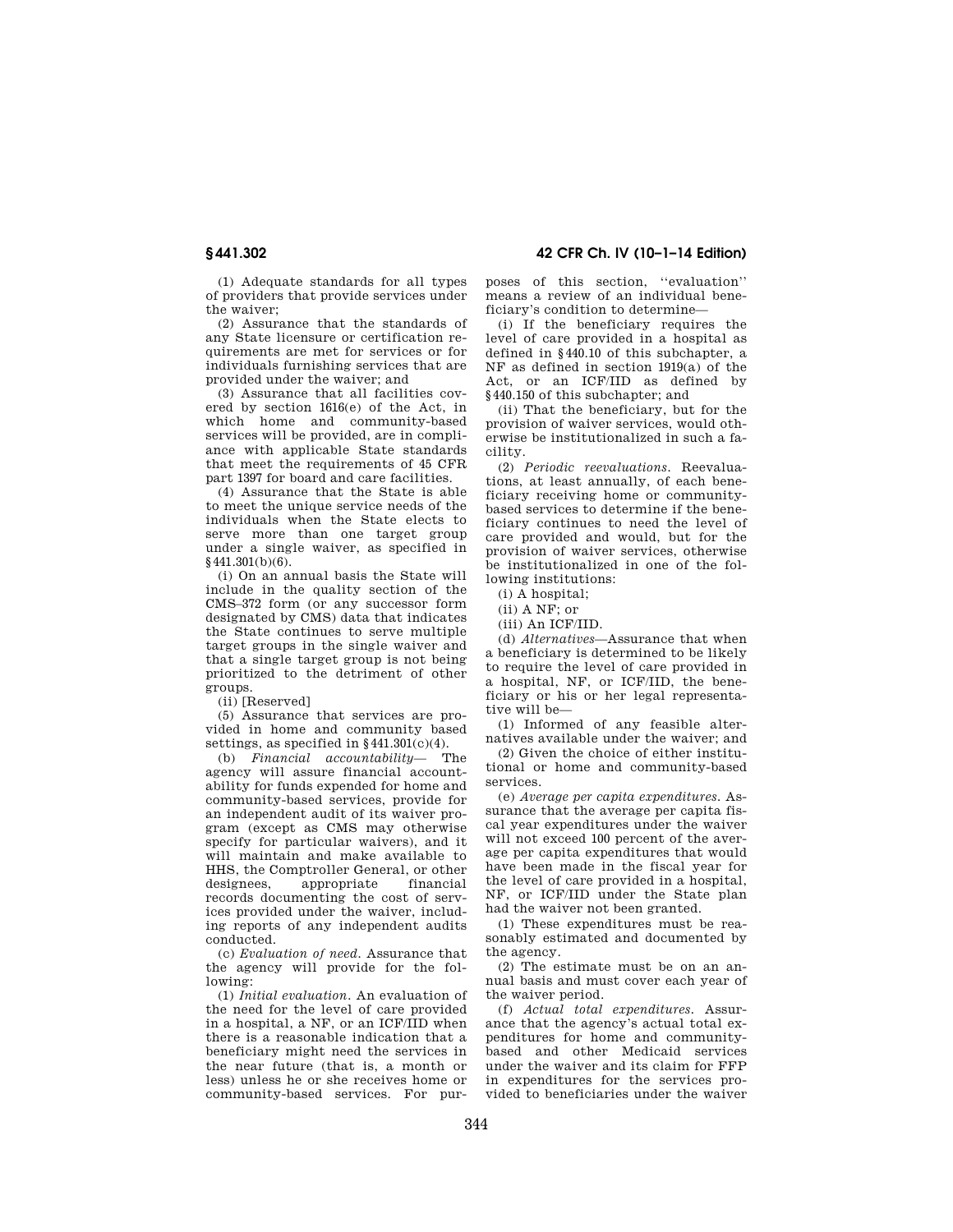**§ 441.302 42 CFR Ch. IV (10–1–14 Edition)** 

(1) Adequate standards for all types of providers that provide services under the waiver;

(2) Assurance that the standards of any State licensure or certification requirements are met for services or for individuals furnishing services that are provided under the waiver; and

(3) Assurance that all facilities covered by section 1616(e) of the Act, in which home and community-based services will be provided, are in compliance with applicable State standards that meet the requirements of 45 CFR part 1397 for board and care facilities.

(4) Assurance that the State is able to meet the unique service needs of the individuals when the State elects to serve more than one target group under a single waiver, as specified in  $§441.301(b)(6).$ 

(i) On an annual basis the State will include in the quality section of the CMS–372 form (or any successor form designated by CMS) data that indicates the State continues to serve multiple target groups in the single waiver and that a single target group is not being prioritized to the detriment of other groups.

(ii) [Reserved]

(5) Assurance that services are provided in home and community based settings, as specified in  $\frac{441.301(c)}{4}$ .<br>(b) Financial accountability The

(b) *Financial accountability* agency will assure financial accountability for funds expended for home and community-based services, provide for an independent audit of its waiver program (except as CMS may otherwise specify for particular waivers), and it will maintain and make available to HHS, the Comptroller General, or other designees, appropriate records documenting the cost of services provided under the waiver, including reports of any independent audits conducted.

(c) *Evaluation of need.* Assurance that the agency will provide for the following:

(1) *Initial evaluation.* An evaluation of the need for the level of care provided in a hospital, a NF, or an ICF/IID when there is a reasonable indication that a beneficiary might need the services in the near future (that is, a month or less) unless he or she receives home or community-based services. For purposes of this section, ''evaluation'' means a review of an individual beneficiary's condition to determine—

(i) If the beneficiary requires the level of care provided in a hospital as defined in §440.10 of this subchapter, a NF as defined in section 1919(a) of the Act, or an ICF/IID as defined by §440.150 of this subchapter; and

(ii) That the beneficiary, but for the provision of waiver services, would otherwise be institutionalized in such a facility.

(2) *Periodic reevaluations.* Reevaluations, at least annually, of each beneficiary receiving home or communitybased services to determine if the beneficiary continues to need the level of care provided and would, but for the provision of waiver services, otherwise be institutionalized in one of the following institutions:

(i) A hospital;

(ii) A NF; or

(iii) An ICF/IID.

(d) *Alternatives*—Assurance that when a beneficiary is determined to be likely to require the level of care provided in a hospital, NF, or ICF/IID, the beneficiary or his or her legal representative will be—

(1) Informed of any feasible alternatives available under the waiver; and

(2) Given the choice of either institutional or home and community-based services.

(e) *Average per capita expenditures.* Assurance that the average per capita fiscal year expenditures under the waiver will not exceed 100 percent of the average per capita expenditures that would have been made in the fiscal year for the level of care provided in a hospital, NF, or ICF/IID under the State plan had the waiver not been granted.

(1) These expenditures must be reasonably estimated and documented by the agency.

(2) The estimate must be on an annual basis and must cover each year of the waiver period.

(f) *Actual total expenditures.* Assurance that the agency's actual total expenditures for home and communitybased and other Medicaid services under the waiver and its claim for FFP in expenditures for the services provided to beneficiaries under the waiver